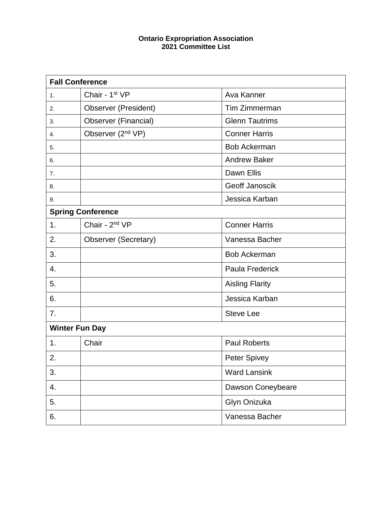## **Ontario Expropriation Association 2021 Committee List**

| <b>Fall Conference</b>   |                               |                        |  |  |
|--------------------------|-------------------------------|------------------------|--|--|
| 1.                       | Chair - 1st VP                | Ava Kanner             |  |  |
| 2.                       | <b>Observer (President)</b>   | Tim Zimmerman          |  |  |
| 3.                       | <b>Observer (Financial)</b>   | <b>Glenn Tautrims</b>  |  |  |
| 4.                       | Observer (2 <sup>nd</sup> VP) | <b>Conner Harris</b>   |  |  |
| 5.                       |                               | <b>Bob Ackerman</b>    |  |  |
| 6.                       |                               | <b>Andrew Baker</b>    |  |  |
| 7.                       |                               | Dawn Ellis             |  |  |
| 8.                       |                               | Geoff Janoscik         |  |  |
| 9.                       |                               | Jessica Karban         |  |  |
| <b>Spring Conference</b> |                               |                        |  |  |
| 1.                       | Chair - 2 <sup>nd</sup> VP    | <b>Conner Harris</b>   |  |  |
| 2.                       | Observer (Secretary)          | Vanessa Bacher         |  |  |
| 3.                       |                               | <b>Bob Ackerman</b>    |  |  |
| 4.                       |                               | Paula Frederick        |  |  |
| 5.                       |                               | <b>Aisling Flarity</b> |  |  |
| 6.                       |                               | Jessica Karban         |  |  |
| 7.                       |                               | <b>Steve Lee</b>       |  |  |
| <b>Winter Fun Day</b>    |                               |                        |  |  |
| 1.                       | Chair                         | <b>Paul Roberts</b>    |  |  |
| 2.                       |                               | <b>Peter Spivey</b>    |  |  |
| 3.                       |                               | <b>Ward Lansink</b>    |  |  |
| 4.                       |                               | Dawson Coneybeare      |  |  |
| 5.                       |                               | Glyn Onizuka           |  |  |
| 6.                       |                               | Vanessa Bacher         |  |  |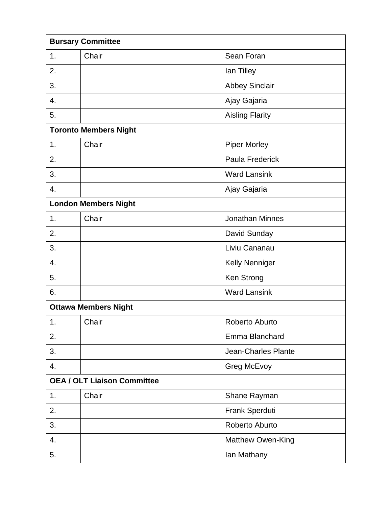| <b>Bursary Committee</b>           |       |                        |  |  |
|------------------------------------|-------|------------------------|--|--|
| 1.                                 | Chair | Sean Foran             |  |  |
| 2.                                 |       | lan Tilley             |  |  |
| 3.                                 |       | <b>Abbey Sinclair</b>  |  |  |
| 4.                                 |       | Ajay Gajaria           |  |  |
| 5.                                 |       | <b>Aisling Flarity</b> |  |  |
| <b>Toronto Members Night</b>       |       |                        |  |  |
| 1.                                 | Chair | <b>Piper Morley</b>    |  |  |
| 2.                                 |       | Paula Frederick        |  |  |
| 3.                                 |       | <b>Ward Lansink</b>    |  |  |
| 4.                                 |       | Ajay Gajaria           |  |  |
| <b>London Members Night</b>        |       |                        |  |  |
| 1.                                 | Chair | <b>Jonathan Minnes</b> |  |  |
| 2.                                 |       | David Sunday           |  |  |
| 3.                                 |       | Liviu Cananau          |  |  |
| 4.                                 |       | Kelly Nenniger         |  |  |
| 5.                                 |       | Ken Strong             |  |  |
| 6.                                 |       | <b>Ward Lansink</b>    |  |  |
| <b>Ottawa Members Night</b>        |       |                        |  |  |
| 1.                                 | Chair | Roberto Aburto         |  |  |
| 2.                                 |       | Emma Blanchard         |  |  |
| 3.                                 |       | Jean-Charles Plante    |  |  |
| 4.                                 |       | Greg McEvoy            |  |  |
| <b>OEA / OLT Liaison Committee</b> |       |                        |  |  |
| 1.                                 | Chair | Shane Rayman           |  |  |
| 2.                                 |       | Frank Sperduti         |  |  |
| 3.                                 |       | Roberto Aburto         |  |  |
| 4.                                 |       | Matthew Owen-King      |  |  |
| 5.                                 |       | lan Mathany            |  |  |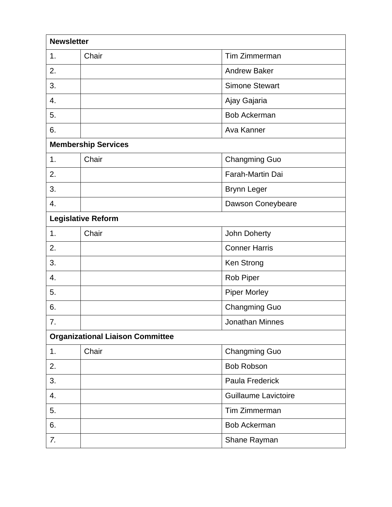| <b>Newsletter</b>                       |       |                             |  |  |
|-----------------------------------------|-------|-----------------------------|--|--|
| 1.                                      | Chair | Tim Zimmerman               |  |  |
| 2.                                      |       | <b>Andrew Baker</b>         |  |  |
| 3.                                      |       | <b>Simone Stewart</b>       |  |  |
| 4.                                      |       | Ajay Gajaria                |  |  |
| 5.                                      |       | <b>Bob Ackerman</b>         |  |  |
| 6.                                      |       | Ava Kanner                  |  |  |
| <b>Membership Services</b>              |       |                             |  |  |
| 1.                                      | Chair | <b>Changming Guo</b>        |  |  |
| 2.                                      |       | Farah-Martin Dai            |  |  |
| 3.                                      |       | <b>Brynn Leger</b>          |  |  |
| 4.                                      |       | Dawson Coneybeare           |  |  |
| <b>Legislative Reform</b>               |       |                             |  |  |
| 1.                                      | Chair | John Doherty                |  |  |
| 2.                                      |       | <b>Conner Harris</b>        |  |  |
| 3.                                      |       | Ken Strong                  |  |  |
| 4.                                      |       | Rob Piper                   |  |  |
| 5.                                      |       | <b>Piper Morley</b>         |  |  |
| 6.                                      |       | <b>Changming Guo</b>        |  |  |
| 7.                                      |       | Jonathan Minnes             |  |  |
| <b>Organizational Liaison Committee</b> |       |                             |  |  |
| 1.                                      | Chair | <b>Changming Guo</b>        |  |  |
| 2.                                      |       | <b>Bob Robson</b>           |  |  |
| 3.                                      |       | Paula Frederick             |  |  |
| 4.                                      |       | <b>Guillaume Lavictoire</b> |  |  |
| 5.                                      |       | Tim Zimmerman               |  |  |
| 6.                                      |       | <b>Bob Ackerman</b>         |  |  |
| 7.                                      |       | Shane Rayman                |  |  |